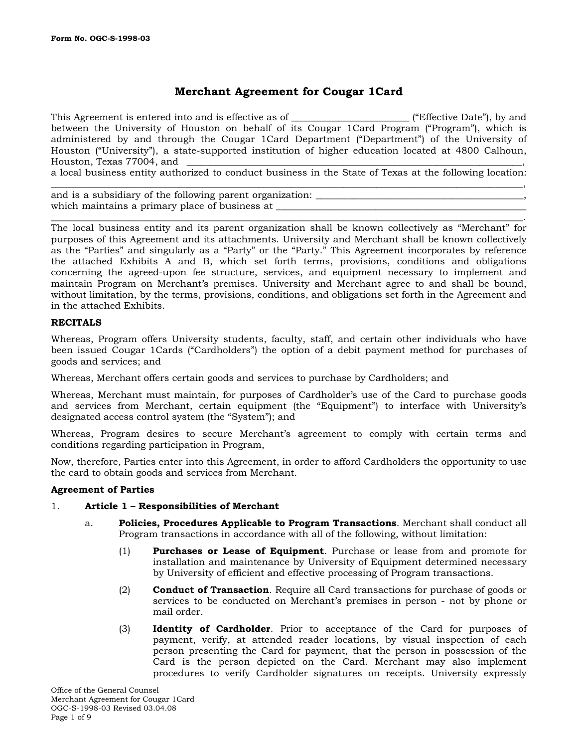# **Merchant Agreement for Cougar 1Card**

This Agreement is entered into and is effective as of  $\Box$  ("Effective Date"), by and between the University of Houston on behalf of its Cougar 1Card Program ("Program"), which is administered by and through the Cougar 1Card Department ("Department") of the University of Houston ("University"), a state-supported institution of higher education located at 4800 Calhoun, Houston, Texas 77004, and

a local business entity authorized to conduct business in the State of Texas at the following location:  $\longrightarrow$  . The contribution of the contribution of the contribution of the contribution of the contribution of the contribution of the contribution of the contribution of the contribution of the contribution of the contributi

\_\_\_\_\_\_\_\_\_\_\_\_\_\_\_\_\_\_\_\_\_\_\_\_\_\_\_\_\_\_\_\_\_\_\_\_\_\_\_\_\_\_\_\_\_\_\_\_\_\_\_\_\_\_\_\_\_\_\_\_\_\_\_\_\_\_\_\_\_\_\_\_\_\_\_\_\_\_\_\_\_\_\_\_\_\_\_\_\_\_\_\_\_\_\_\_\_\_\_\_.

and is a subsidiary of the following parent organization:  $\_\_$ which maintains a primary place of business at  $\_$ 

The local business entity and its parent organization shall be known collectively as "Merchant" for purposes of this Agreement and its attachments. University and Merchant shall be known collectively as the "Parties" and singularly as a "Party" or the "Party." This Agreement incorporates by reference the attached Exhibits A and B, which set forth terms, provisions, conditions and obligations concerning the agreed-upon fee structure, services, and equipment necessary to implement and maintain Program on Merchant's premises. University and Merchant agree to and shall be bound, without limitation, by the terms, provisions, conditions, and obligations set forth in the Agreement and in the attached Exhibits.

## **RECITALS**

Whereas, Program offers University students, faculty, staff, and certain other individuals who have been issued Cougar 1Cards ("Cardholders") the option of a debit payment method for purchases of goods and services; and

Whereas, Merchant offers certain goods and services to purchase by Cardholders; and

Whereas, Merchant must maintain, for purposes of Cardholder's use of the Card to purchase goods and services from Merchant, certain equipment (the "Equipment") to interface with University's designated access control system (the "System"); and

Whereas, Program desires to secure Merchant's agreement to comply with certain terms and conditions regarding participation in Program,

Now, therefore, Parties enter into this Agreement, in order to afford Cardholders the opportunity to use the card to obtain goods and services from Merchant.

## **Agreement of Parties**

## 1. **Article 1 – Responsibilities of Merchant**

- a. **Policies, Procedures Applicable to Program Transactions**. Merchant shall conduct all Program transactions in accordance with all of the following, without limitation:
	- (1) **Purchases or Lease of Equipment**. Purchase or lease from and promote for installation and maintenance by University of Equipment determined necessary by University of efficient and effective processing of Program transactions.
	- (2) **Conduct of Transaction**. Require all Card transactions for purchase of goods or services to be conducted on Merchant's premises in person - not by phone or mail order.
	- (3) **Identity of Cardholder**. Prior to acceptance of the Card for purposes of payment, verify, at attended reader locations, by visual inspection of each person presenting the Card for payment, that the person in possession of the Card is the person depicted on the Card. Merchant may also implement procedures to verify Cardholder signatures on receipts. University expressly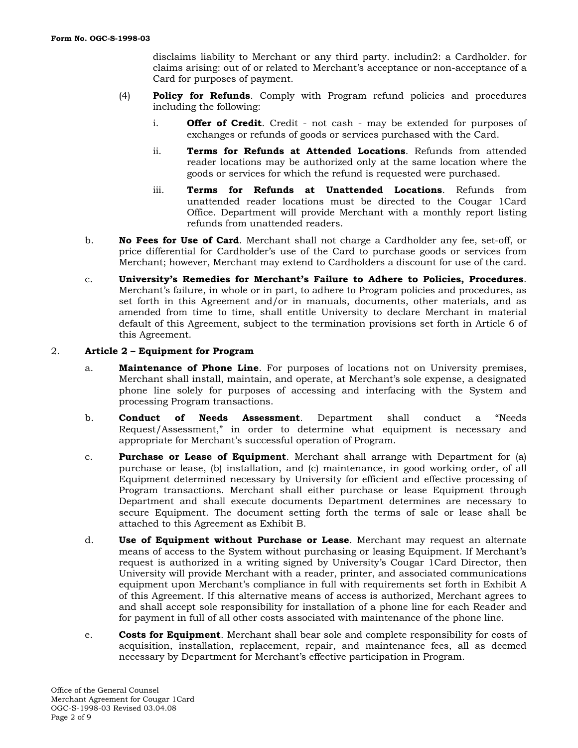disclaims liability to Merchant or any third party. includin2: a Cardholder. for claims arising: out of or related to Merchant's acceptance or non-acceptance of a Card for purposes of payment.

- (4) **Policy for Refunds**. Comply with Program refund policies and procedures including the following:
	- i. **Offer of Credit**. Credit not cash may be extended for purposes of exchanges or refunds of goods or services purchased with the Card.
	- ii. **Terms for Refunds at Attended Locations**. Refunds from attended reader locations may be authorized only at the same location where the goods or services for which the refund is requested were purchased.
	- iii. **Terms for Refunds at Unattended Locations**. Refunds from unattended reader locations must be directed to the Cougar 1Card Office. Department will provide Merchant with a monthly report listing refunds from unattended readers.
- b. **No Fees for Use of Card**. Merchant shall not charge a Cardholder any fee, set-off, or price differential for Cardholder's use of the Card to purchase goods or services from Merchant; however, Merchant may extend to Cardholders a discount for use of the card.
- c. **University's Remedies for Merchant's Failure to Adhere to Policies, Procedures**. Merchant's failure, in whole or in part, to adhere to Program policies and procedures, as set forth in this Agreement and/or in manuals, documents, other materials, and as amended from time to time, shall entitle University to declare Merchant in material default of this Agreement, subject to the termination provisions set forth in Article 6 of this Agreement.

## 2. **Article 2 – Equipment for Program**

- a. **Maintenance of Phone Line**. For purposes of locations not on University premises, Merchant shall install, maintain, and operate, at Merchant's sole expense, a designated phone line solely for purposes of accessing and interfacing with the System and processing Program transactions.
- b. **Conduct of Needs Assessment**. Department shall conduct a "Needs Request/Assessment," in order to determine what equipment is necessary and appropriate for Merchant's successful operation of Program.
- c. **Purchase or Lease of Equipment**. Merchant shall arrange with Department for (a) purchase or lease, (b) installation, and (c) maintenance, in good working order, of all Equipment determined necessary by University for efficient and effective processing of Program transactions. Merchant shall either purchase or lease Equipment through Department and shall execute documents Department determines are necessary to secure Equipment. The document setting forth the terms of sale or lease shall be attached to this Agreement as Exhibit B.
- d. **Use of Equipment without Purchase or Lease**. Merchant may request an alternate means of access to the System without purchasing or leasing Equipment. If Merchant's request is authorized in a writing signed by University's Cougar 1Card Director, then University will provide Merchant with a reader, printer, and associated communications equipment upon Merchant's compliance in full with requirements set forth in Exhibit A of this Agreement. If this alternative means of access is authorized, Merchant agrees to and shall accept sole responsibility for installation of a phone line for each Reader and for payment in full of all other costs associated with maintenance of the phone line.
- e. **Costs for Equipment**. Merchant shall bear sole and complete responsibility for costs of acquisition, installation, replacement, repair, and maintenance fees, all as deemed necessary by Department for Merchant's effective participation in Program.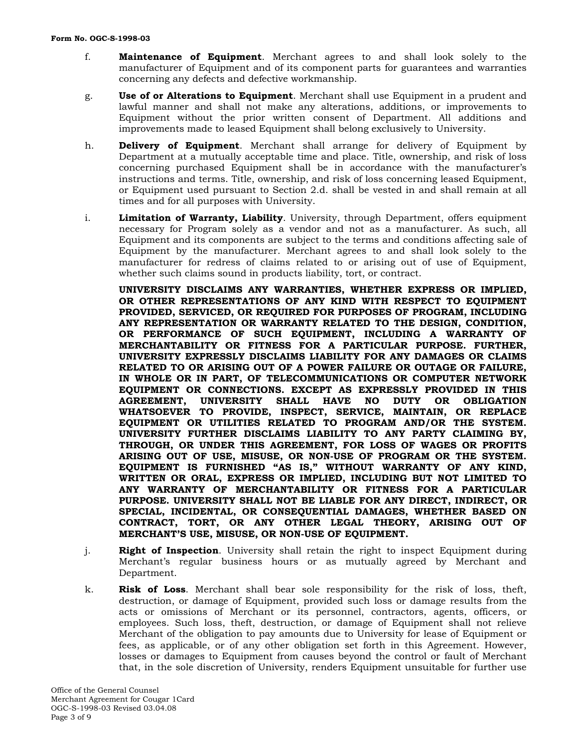- f. **Maintenance of Equipment**. Merchant agrees to and shall look solely to the manufacturer of Equipment and of its component parts for guarantees and warranties concerning any defects and defective workmanship.
- g. **Use of or Alterations to Equipment**. Merchant shall use Equipment in a prudent and lawful manner and shall not make any alterations, additions, or improvements to Equipment without the prior written consent of Department. All additions and improvements made to leased Equipment shall belong exclusively to University.
- h. **Delivery of Equipment**. Merchant shall arrange for delivery of Equipment by Department at a mutually acceptable time and place. Title, ownership, and risk of loss concerning purchased Equipment shall be in accordance with the manufacturer's instructions and terms. Title, ownership, and risk of loss concerning leased Equipment, or Equipment used pursuant to Section 2.d. shall be vested in and shall remain at all times and for all purposes with University.
- i. **Limitation of Warranty, Liability**. University, through Department, offers equipment necessary for Program solely as a vendor and not as a manufacturer. As such, all Equipment and its components are subject to the terms and conditions affecting sale of Equipment by the manufacturer. Merchant agrees to and shall look solely to the manufacturer for redress of claims related to or arising out of use of Equipment, whether such claims sound in products liability, tort, or contract.

**UNIVERSITY DISCLAIMS ANY WARRANTIES, WHETHER EXPRESS OR IMPLIED, OR OTHER REPRESENTATIONS OF ANY KIND WITH RESPECT TO EQUIPMENT PROVIDED, SERVICED, OR REQUIRED FOR PURPOSES OF PROGRAM, INCLUDING ANY REPRESENTATION OR WARRANTY RELATED TO THE DESIGN, CONDITION, OR PERFORMANCE OF SUCH EQUIPMENT, INCLUDING A WARRANTY OF MERCHANTABILITY OR FITNESS FOR A PARTICULAR PURPOSE. FURTHER, UNIVERSITY EXPRESSLY DISCLAIMS LIABILITY FOR ANY DAMAGES OR CLAIMS RELATED TO OR ARISING OUT OF A POWER FAILURE OR OUTAGE OR FAILURE, IN WHOLE OR IN PART, OF TELECOMMUNICATIONS OR COMPUTER NETWORK EQUIPMENT OR CONNECTIONS. EXCEPT AS EXPRESSLY PROVIDED IN THIS AGREEMENT, UNIVERSITY SHALL HAVE NO DUTY OR OBLIGATION WHATSOEVER TO PROVIDE, INSPECT, SERVICE, MAINTAIN, OR REPLACE EQUIPMENT OR UTILITIES RELATED TO PROGRAM AND/OR THE SYSTEM. UNIVERSITY FURTHER DISCLAIMS LIABILITY TO ANY PARTY CLAIMING BY, THROUGH, OR UNDER THIS AGREEMENT, FOR LOSS OF WAGES OR PROFITS ARISING OUT OF USE, MISUSE, OR NON-USE OF PROGRAM OR THE SYSTEM. EQUIPMENT IS FURNISHED "AS IS," WITHOUT WARRANTY OF ANY KIND, WRITTEN OR ORAL, EXPRESS OR IMPLIED, INCLUDING BUT NOT LIMITED TO ANY WARRANTY OF MERCHANTABILITY OR FITNESS FOR A PARTICULAR PURPOSE. UNIVERSITY SHALL NOT BE LIABLE FOR ANY DIRECT, INDIRECT, OR SPECIAL, INCIDENTAL, OR CONSEQUENTIAL DAMAGES, WHETHER BASED ON CONTRACT, TORT, OR ANY OTHER LEGAL THEORY, ARISING OUT OF MERCHANT'S USE, MISUSE, OR NON-USE OF EQUIPMENT.** 

- j. **Right of Inspection**. University shall retain the right to inspect Equipment during Merchant's regular business hours or as mutually agreed by Merchant and Department.
- k. **Risk of Loss**. Merchant shall bear sole responsibility for the risk of loss, theft, destruction, or damage of Equipment, provided such loss or damage results from the acts or omissions of Merchant or its personnel, contractors, agents, officers, or employees. Such loss, theft, destruction, or damage of Equipment shall not relieve Merchant of the obligation to pay amounts due to University for lease of Equipment or fees, as applicable, or of any other obligation set forth in this Agreement. However, losses or damages to Equipment from causes beyond the control or fault of Merchant that, in the sole discretion of University, renders Equipment unsuitable for further use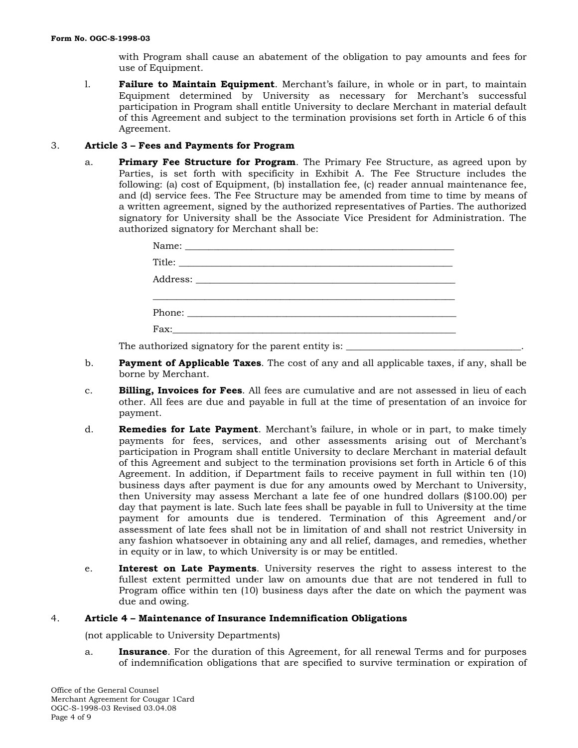with Program shall cause an abatement of the obligation to pay amounts and fees for use of Equipment.

l. **Failure to Maintain Equipment**. Merchant's failure, in whole or in part, to maintain Equipment determined by University as necessary for Merchant's successful participation in Program shall entitle University to declare Merchant in material default of this Agreement and subject to the termination provisions set forth in Article 6 of this Agreement.

## 3. **Article 3 – Fees and Payments for Program**

a. **Primary Fee Structure for Program**. The Primary Fee Structure, as agreed upon by Parties, is set forth with specificity in Exhibit A. The Fee Structure includes the following: (a) cost of Equipment, (b) installation fee, (c) reader annual maintenance fee, and (d) service fees. The Fee Structure may be amended from time to time by means of a written agreement, signed by the authorized representatives of Parties. The authorized signatory for University shall be the Associate Vice President for Administration. The authorized signatory for Merchant shall be:

The authorized signatory for the parent entity is:

- b. **Payment of Applicable Taxes**. The cost of any and all applicable taxes, if any, shall be borne by Merchant.
- c. **Billing, Invoices for Fees**. All fees are cumulative and are not assessed in lieu of each other. All fees are due and payable in full at the time of presentation of an invoice for payment.
- d. **Remedies for Late Payment**. Merchant's failure, in whole or in part, to make timely payments for fees, services, and other assessments arising out of Merchant's participation in Program shall entitle University to declare Merchant in material default of this Agreement and subject to the termination provisions set forth in Article 6 of this Agreement. In addition, if Department fails to receive payment in full within ten (10) business days after payment is due for any amounts owed by Merchant to University, then University may assess Merchant a late fee of one hundred dollars (\$100.00) per day that payment is late. Such late fees shall be payable in full to University at the time payment for amounts due is tendered. Termination of this Agreement and/or assessment of late fees shall not be in limitation of and shall not restrict University in any fashion whatsoever in obtaining any and all relief, damages, and remedies, whether in equity or in law, to which University is or may be entitled.
- e. **Interest on Late Payments**. University reserves the right to assess interest to the fullest extent permitted under law on amounts due that are not tendered in full to Program office within ten (10) business days after the date on which the payment was due and owing.

## 4. **Article 4 – Maintenance of Insurance Indemnification Obligations**

(not applicable to University Departments)

a. **Insurance**. For the duration of this Agreement, for all renewal Terms and for purposes of indemnification obligations that are specified to survive termination or expiration of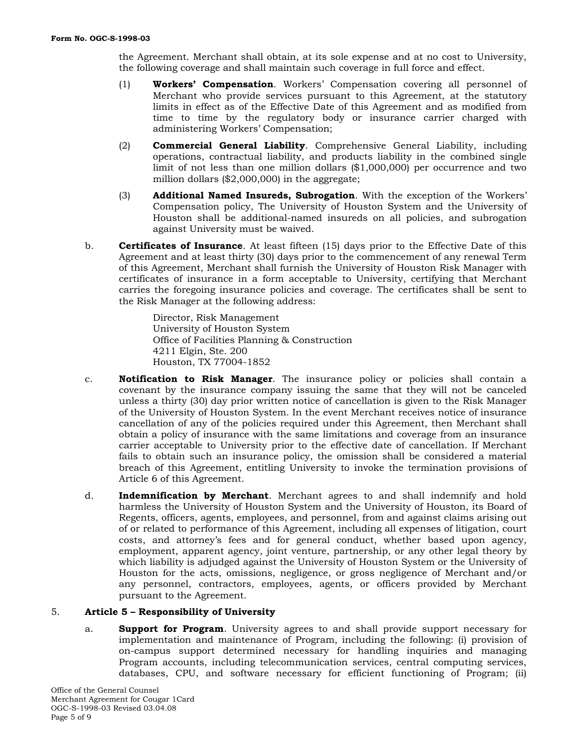the Agreement. Merchant shall obtain, at its sole expense and at no cost to University, the following coverage and shall maintain such coverage in full force and effect.

- (1) **Workers' Compensation**. Workers' Compensation covering all personnel of Merchant who provide services pursuant to this Agreement, at the statutory limits in effect as of the Effective Date of this Agreement and as modified from time to time by the regulatory body or insurance carrier charged with administering Workers' Compensation;
- (2) **Commercial General Liability**. Comprehensive General Liability, including operations, contractual liability, and products liability in the combined single limit of not less than one million dollars (\$1,000,000) per occurrence and two million dollars (\$2,000,000) in the aggregate;
- (3) **Additional Named Insureds, Subrogation**. With the exception of the Workers' Compensation policy, The University of Houston System and the University of Houston shall be additional-named insureds on all policies, and subrogation against University must be waived.
- b. **Certificates of Insurance**. At least fifteen (15) days prior to the Effective Date of this Agreement and at least thirty (30) days prior to the commencement of any renewal Term of this Agreement, Merchant shall furnish the University of Houston Risk Manager with certificates of insurance in a form acceptable to University, certifying that Merchant carries the foregoing insurance policies and coverage. The certificates shall be sent to the Risk Manager at the following address:

Director, Risk Management University of Houston System Office of Facilities Planning & Construction 4211 Elgin, Ste. 200 Houston, TX 77004-1852

- c. **Notification to Risk Manager**. The insurance policy or policies shall contain a covenant by the insurance company issuing the same that they will not be canceled unless a thirty (30) day prior written notice of cancellation is given to the Risk Manager of the University of Houston System. In the event Merchant receives notice of insurance cancellation of any of the policies required under this Agreement, then Merchant shall obtain a policy of insurance with the same limitations and coverage from an insurance carrier acceptable to University prior to the effective date of cancellation. If Merchant fails to obtain such an insurance policy, the omission shall be considered a material breach of this Agreement, entitling University to invoke the termination provisions of Article 6 of this Agreement.
- d. **Indemnification by Merchant**. Merchant agrees to and shall indemnify and hold harmless the University of Houston System and the University of Houston, its Board of Regents, officers, agents, employees, and personnel, from and against claims arising out of or related to performance of this Agreement, including all expenses of litigation, court costs, and attorney's fees and for general conduct, whether based upon agency, employment, apparent agency, joint venture, partnership, or any other legal theory by which liability is adjudged against the University of Houston System or the University of Houston for the acts, omissions, negligence, or gross negligence of Merchant and/or any personnel, contractors, employees, agents, or officers provided by Merchant pursuant to the Agreement.

## 5. **Article 5 – Responsibility of University**

a. **Support for Program**. University agrees to and shall provide support necessary for implementation and maintenance of Program, including the following: (i) provision of on-campus support determined necessary for handling inquiries and managing Program accounts, including telecommunication services, central computing services, databases, CPU, and software necessary for efficient functioning of Program; (ii)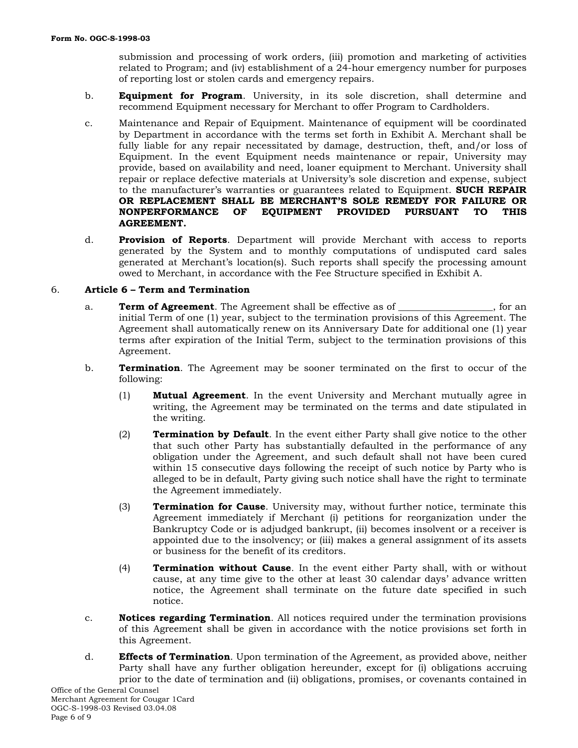submission and processing of work orders, (iii) promotion and marketing of activities related to Program; and (iv) establishment of a 24-hour emergency number for purposes of reporting lost or stolen cards and emergency repairs.

- b. **Equipment for Program**. University, in its sole discretion, shall determine and recommend Equipment necessary for Merchant to offer Program to Cardholders.
- c. Maintenance and Repair of Equipment. Maintenance of equipment will be coordinated by Department in accordance with the terms set forth in Exhibit A. Merchant shall be fully liable for any repair necessitated by damage, destruction, theft, and/or loss of Equipment. In the event Equipment needs maintenance or repair, University may provide, based on availability and need, loaner equipment to Merchant. University shall repair or replace defective materials at University's sole discretion and expense, subject to the manufacturer's warranties or guarantees related to Equipment. **SUCH REPAIR OR REPLACEMENT SHALL BE MERCHANT'S SOLE REMEDY FOR FAILURE OR NONPERFORMANCE OF EQUIPMENT PROVIDED PURSUANT TO THIS AGREEMENT.**
- d. **Provision of Reports**. Department will provide Merchant with access to reports generated by the System and to monthly computations of undisputed card sales generated at Merchant's location(s). Such reports shall specify the processing amount owed to Merchant, in accordance with the Fee Structure specified in Exhibit A.

## 6. **Article 6 – Term and Termination**

- a. **Term of Agreement**. The Agreement shall be effective as of \_\_\_\_\_\_\_\_\_\_\_\_\_\_\_, for an initial Term of one (1) year, subject to the termination provisions of this Agreement. The Agreement shall automatically renew on its Anniversary Date for additional one (1) year terms after expiration of the Initial Term, subject to the termination provisions of this Agreement.
- b. **Termination**. The Agreement may be sooner terminated on the first to occur of the following:
	- (1) **Mutual Agreement**. In the event University and Merchant mutually agree in writing, the Agreement may be terminated on the terms and date stipulated in the writing.
	- (2) **Termination by Default**. In the event either Party shall give notice to the other that such other Party has substantially defaulted in the performance of any obligation under the Agreement, and such default shall not have been cured within 15 consecutive days following the receipt of such notice by Party who is alleged to be in default, Party giving such notice shall have the right to terminate the Agreement immediately.
	- (3) **Termination for Cause**. University may, without further notice, terminate this Agreement immediately if Merchant (i) petitions for reorganization under the Bankruptcy Code or is adjudged bankrupt, (ii) becomes insolvent or a receiver is appointed due to the insolvency; or (iii) makes a general assignment of its assets or business for the benefit of its creditors.
	- (4) **Termination without Cause**. In the event either Party shall, with or without cause, at any time give to the other at least 30 calendar days' advance written notice, the Agreement shall terminate on the future date specified in such notice.
- c. **Notices regarding Termination**. All notices required under the termination provisions of this Agreement shall be given in accordance with the notice provisions set forth in this Agreement.
- d. **Effects of Termination**. Upon termination of the Agreement, as provided above, neither Party shall have any further obligation hereunder, except for (i) obligations accruing prior to the date of termination and (ii) obligations, promises, or covenants contained in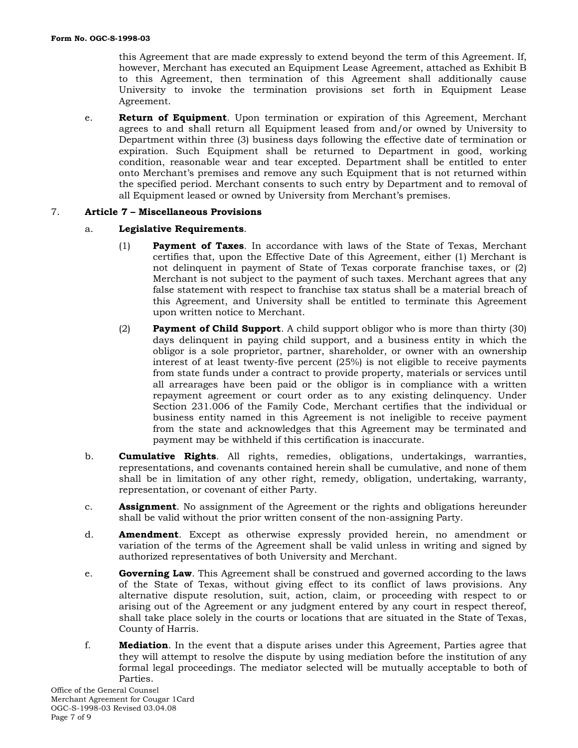this Agreement that are made expressly to extend beyond the term of this Agreement. If, however, Merchant has executed an Equipment Lease Agreement, attached as Exhibit B to this Agreement, then termination of this Agreement shall additionally cause University to invoke the termination provisions set forth in Equipment Lease Agreement.

e. **Return of Equipment**. Upon termination or expiration of this Agreement, Merchant agrees to and shall return all Equipment leased from and/or owned by University to Department within three (3) business days following the effective date of termination or expiration. Such Equipment shall be returned to Department in good, working condition, reasonable wear and tear excepted. Department shall be entitled to enter onto Merchant's premises and remove any such Equipment that is not returned within the specified period. Merchant consents to such entry by Department and to removal of all Equipment leased or owned by University from Merchant's premises.

## 7. **Article 7 – Miscellaneous Provisions**

#### a. **Legislative Requirements**.

- (1) **Payment of Taxes**. In accordance with laws of the State of Texas, Merchant certifies that, upon the Effective Date of this Agreement, either (1) Merchant is not delinquent in payment of State of Texas corporate franchise taxes, or (2) Merchant is not subject to the payment of such taxes. Merchant agrees that any false statement with respect to franchise tax status shall be a material breach of this Agreement, and University shall be entitled to terminate this Agreement upon written notice to Merchant.
- (2) **Payment of Child Support**. A child support obligor who is more than thirty (30) days delinquent in paying child support, and a business entity in which the obligor is a sole proprietor, partner, shareholder, or owner with an ownership interest of at least twenty-five percent (25%) is not eligible to receive payments from state funds under a contract to provide property, materials or services until all arrearages have been paid or the obligor is in compliance with a written repayment agreement or court order as to any existing delinquency. Under Section 231.006 of the Family Code, Merchant certifies that the individual or business entity named in this Agreement is not ineligible to receive payment from the state and acknowledges that this Agreement may be terminated and payment may be withheld if this certification is inaccurate.
- b. **Cumulative Rights**. All rights, remedies, obligations, undertakings, warranties, representations, and covenants contained herein shall be cumulative, and none of them shall be in limitation of any other right, remedy, obligation, undertaking, warranty, representation, or covenant of either Party.
- c. **Assignment**. No assignment of the Agreement or the rights and obligations hereunder shall be valid without the prior written consent of the non-assigning Party.
- d. **Amendment**. Except as otherwise expressly provided herein, no amendment or variation of the terms of the Agreement shall be valid unless in writing and signed by authorized representatives of both University and Merchant.
- e. **Governing Law**. This Agreement shall be construed and governed according to the laws of the State of Texas, without giving effect to its conflict of laws provisions. Any alternative dispute resolution, suit, action, claim, or proceeding with respect to or arising out of the Agreement or any judgment entered by any court in respect thereof, shall take place solely in the courts or locations that are situated in the State of Texas, County of Harris.
- f. **Mediation**. In the event that a dispute arises under this Agreement, Parties agree that they will attempt to resolve the dispute by using mediation before the institution of any formal legal proceedings. The mediator selected will be mutually acceptable to both of Parties.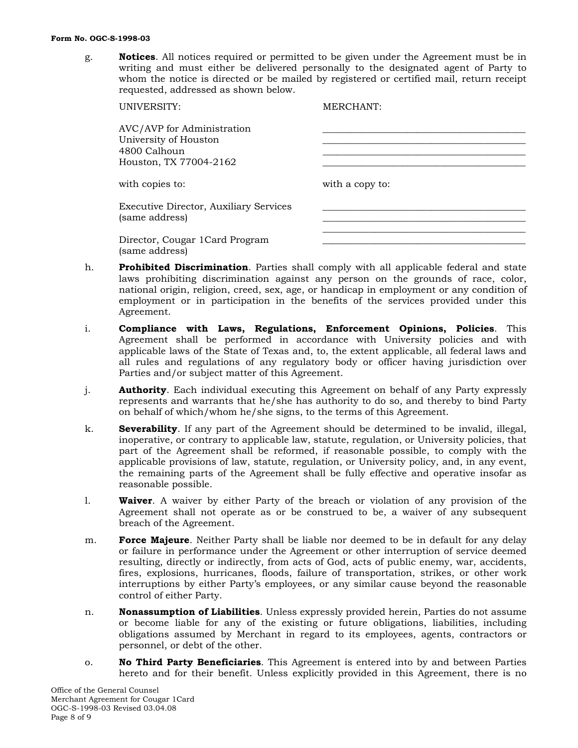#### **Form No. OGC-S-1998-03**

g. **Notices**. All notices required or permitted to be given under the Agreement must be in writing and must either be delivered personally to the designated agent of Party to whom the notice is directed or be mailed by registered or certified mail, return receipt requested, addressed as shown below.

| UNIVERSITY:                                                                                   | MERCHANT:       |
|-----------------------------------------------------------------------------------------------|-----------------|
| AVC/AVP for Administration<br>University of Houston<br>4800 Calhoun<br>Houston, TX 77004-2162 |                 |
| with copies to:                                                                               | with a copy to: |
| Executive Director, Auxiliary Services<br>(same address)                                      |                 |
| Director, Cougar 1 Card Program<br>(same address)                                             |                 |

- h. **Prohibited Discrimination**. Parties shall comply with all applicable federal and state laws prohibiting discrimination against any person on the grounds of race, color, national origin, religion, creed, sex, age, or handicap in employment or any condition of employment or in participation in the benefits of the services provided under this Agreement.
- i. **Compliance with Laws, Regulations, Enforcement Opinions, Policies**. This Agreement shall be performed in accordance with University policies and with applicable laws of the State of Texas and, to, the extent applicable, all federal laws and all rules and regulations of any regulatory body or officer having jurisdiction over Parties and/or subject matter of this Agreement.
- j. **Authority**. Each individual executing this Agreement on behalf of any Party expressly represents and warrants that he/she has authority to do so, and thereby to bind Party on behalf of which/whom he/she signs, to the terms of this Agreement.
- k. **Severability**. If any part of the Agreement should be determined to be invalid, illegal, inoperative, or contrary to applicable law, statute, regulation, or University policies, that part of the Agreement shall be reformed, if reasonable possible, to comply with the applicable provisions of law, statute, regulation, or University policy, and, in any event, the remaining parts of the Agreement shall be fully effective and operative insofar as reasonable possible.
- l. **Waiver**. A waiver by either Party of the breach or violation of any provision of the Agreement shall not operate as or be construed to be, a waiver of any subsequent breach of the Agreement.
- m. **Force Majeure**. Neither Party shall be liable nor deemed to be in default for any delay or failure in performance under the Agreement or other interruption of service deemed resulting, directly or indirectly, from acts of God, acts of public enemy, war, accidents, fires, explosions, hurricanes, floods, failure of transportation, strikes, or other work interruptions by either Party's employees, or any similar cause beyond the reasonable control of either Party.
- n. **Nonassumption of Liabilities**. Unless expressly provided herein, Parties do not assume or become liable for any of the existing or future obligations, liabilities, including obligations assumed by Merchant in regard to its employees, agents, contractors or personnel, or debt of the other.
- o. **No Third Party Beneficiaries**. This Agreement is entered into by and between Parties hereto and for their benefit. Unless explicitly provided in this Agreement, there is no